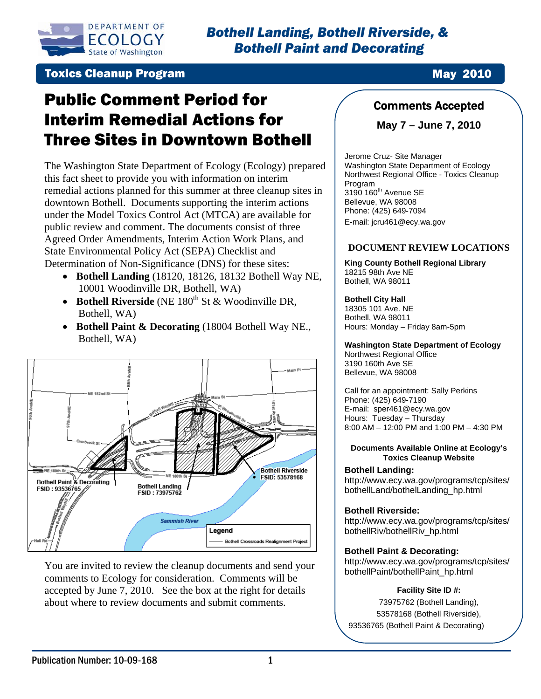

**Toxics Cleanup Program May 2010** 

# Public Comment Period for Interim Remedial Actions for Three Sites in Downtown Bothell

The Washington State Department of Ecology (Ecology) prepared this fact sheet to provide you with information on interim remedial actions planned for this summer at three cleanup sites in downtown Bothell. Documents supporting the interim actions under the Model Toxics Control Act (MTCA) are available for public review and comment. The documents consist of three Agreed Order Amendments, Interim Action Work Plans, and State Environmental Policy Act (SEPA) Checklist and Determination of Non-Significance (DNS) for these sites:

- **Bothell Landing** (18120, 18126, 18132 Bothell Way NE, 10001 Woodinville DR, Bothell, WA)
- **Bothell Riverside** (NE 180<sup>th</sup> St & Woodinville DR, Bothell, WA)
- **Bothell Paint & Decorating** (18004 Bothell Way NE., Bothell, WA)



You are invited to review the cleanup documents and send your accepted by June 7, 2010. See the box at the right for details comments to Ecology for consideration. Comments will be about where to review documents and submit comments.

## Comments Accepted

**May 7 – June 7, 2010** 

Jerome Cruz- Site Manager Washington State Department of Ecology Northwest Regional Office - Toxics Cleanup Program  $3190$   $160<sup>th</sup>$  Avenue SE Bellevue, WA 98008 Phone: (425) 649-7094 E-mail: jcru461@ecy.wa.gov

#### **DOCUMENT REVIEW LOCATIONS**

**King County Bothell Regional Library**  18215 98th Ave NE Bothell, WA 98011

#### **Bothell City Hall**

18305 101 Ave. NE Bothell, WA 98011 Hours: Monday – Friday 8am-5pm

**Washington State Department of Ecology**  Northwest Regional Office 3190 160th Ave SE Bellevue, WA 98008

Call for an appointment: Sally Perkins Phone: (425) 649-7190 E-mail: sper461@ecy.wa.gov Hours: Tuesday – Thursday 8:00 AM – 12:00 PM and 1:00 PM – 4:30 PM

#### **Documents Available Online at Ecology's Toxics Cleanup Website**

#### **Bothell Landing:**

[http://www.ecy.wa.gov/programs/tcp/sites/](http://www.ecy.wa.gov/programs/tcp/sites/bothellLand/bothelLanding_hp.html) [bothellLand/bothelLanding\\_hp.html](http://www.ecy.wa.gov/programs/tcp/sites/bothellLand/bothelLanding_hp.html) 

#### **Bothell Riverside:**

[http://www.ecy.wa.gov/programs/tcp/sites/](http://www.ecy.wa.gov/programs/tcp/sites/bothellRiv/) [bothellRiv/b](http://www.ecy.wa.gov/programs/tcp/sites/bothellRiv/)othellRiv\_hp.html

#### **Bothell Paint & Decorating:**

[http://www.ecy.wa.gov/programs/tcp/sites/](http://www.ecy.wa.gov/programs/tcp/sites/bothellPaint/bothellPaint_hp.html) [bothellPaint/bothellPaint\\_hp.html](http://www.ecy.wa.gov/programs/tcp/sites/bothellPaint/bothellPaint_hp.html) 

#### **Facility Site ID #:**

73975762 (Bothell Landing), 53578168 (Bothell Riverside), 93536765 (Bothell Paint & Decorating)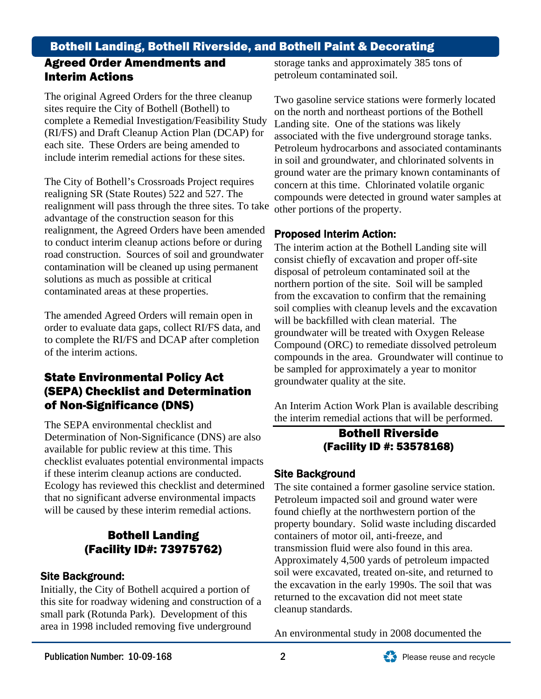# Bothell Landing, Bothell Riverside, and Bothell Paint & Decorating

## Agreed Order Amendments and Interim Actions

The original Agreed Orders for the three cleanup complete a Remedial Investigation/Feasibility Study sites require the City of Bothell (Bothell) to (RI/FS) and Draft Cleanup Action Plan (DCAP) for each site. These Orders are being amended to include interim remedial actions for these sites.

The City of Bothell's Crossroads Project requires realignment will pass through the three sites. To take realignment, the Agreed Orders have been amended realigning SR (State Routes) 522 and 527. The advantage of the construction season for this to conduct interim cleanup actions before or during road construction. Sources of soil and groundwater contamination will be cleaned up using permanent solutions as much as possible at critical contaminated areas at these properties.

The amended Agreed Orders will remain open in order to evaluate data gaps, collect RI/FS data, and to complete the RI/FS and DCAP after completion of the interim actions.

## State Environmental Policy Act (SEPA) Checklist and Determination of Non-Significance (DNS)

The SEPA environmental checklist and Determination of Non-Significance (DNS) are also checklist evaluates potential environmental impacts Ecology has reviewed this checklist and determined available for public review at this time. This if these interim cleanup actions are conducted. that no significant adverse environmental impacts will be caused by these interim remedial actions.

## Bothell Landing (Facility ID#: 73975762)

## Site Background:

Initially, the City of Bothell acquired a portion of this site for roadway widening and construction of a small park (Rotunda Park). Development of this area in 1998 included removing five underground

storage tanks and approximately 385 tons of petroleum contaminated soil.

Two gasoline service stations were formerly located on the north and northeast portions of the Bothell . associated with the five underground storage tanks Petroleum hydrocarbons and associated contaminants Landing site. One of the stations was likely in soil and groundwater, and chlorinated solvents in ground water are the primary known contaminants of concern at this time. Chlorinated volatile organic compounds were detected in ground water samples at other portions of the property.

## Proposed Interim Action:

The interim action at the Bothell Landing site will consist chiefly of excavation and proper off-site from the excavation to confirm that the remaining soil complies with cleanup levels and the excavation Compound (ORC) to remediate dissolved petroleum compounds in the area. Groundwater will continue to disposal of petroleum contaminated soil at the northern portion of the site. Soil will be sampled will be backfilled with clean material. The groundwater will be treated with Oxygen Release be sampled for approximately a year to monitor groundwater quality at the site.

An Interim Action Work Plan is available describing the interim remedial actions that will be performed.

## Bothell Riverside (Facility ID #: 53578168)

## Site Back ground

The site contained a former gasoline service station. Petroleum impacted soil and ground water were property boundary. Solid waste including discarded Approximately 4,500 yards of petroleum impacted soil were excavated, treated on-site, and returned to found chiefly at the northwestern portion of the containers of motor oil, anti-freeze, and transmission fluid were also found in this area. the excavation in the early 1990s. The soil that was returned to the excavation did not meet state cleanup standards.

An environmental study in 2008 documented the

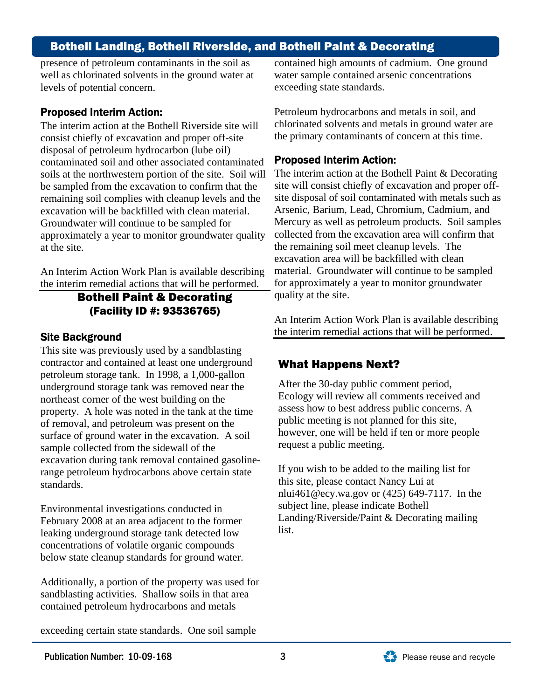## Bothell Landing, Bothell Riverside, and Bothell Paint & Decorating

presence of petroleum contaminants in the soil as well as chlorinated solvents in the ground water at levels of potential concern.

#### Proposed Interim Action:

The interim action at the Bothell Riverside site will consist chiefly of excavation and proper off-site contaminated soil and other associated contaminated soils at the northwestern portion of the site. Soil will approximately a year to monitor groundwater quality disposal of petroleum hydrocarbon (lube oil) be sampled from the excavation to confirm that the remaining soil complies with cleanup levels and the excavation will be backfilled with clean material. Groundwater will continue to be sampled for at the site.

An Interim Action Work Plan is available describing the interim remedial actions that will be performed.

## Bothell Paint & Decorating (Facility ID #: 93536765)

#### **Site Background**

This site was previously used by a sandblasting contractor and contained at least one underground property. A hole was noted in the tank at the time of removal, and petroleum was present on the excavation during tank removal contained gasolinerange petroleum hydrocarbons above certain state petroleum storage tank. In 1998, a 1,000-gallon underground storage tank was removed near the northeast corner of the west building on the surface of ground water in the excavation. A soil sample collected from the sidewall of the standards.

Environmental investigations conducted in February 2008 at an area adjacent to the former leaking underground storage tank detected low concentrations of volatile organic compounds below state cleanup standards for ground water.

Additionally, a portion of the property was used for sandblasting activities. Shallow soils in that area contained petroleum hydrocarbons and metals

exceeding certain state standards. One soil sample

contained high amounts of cadmium. One ground water sample contained arsenic concentrations exceeding state standards.

Petroleum hydrocarbons and metals in soil, and chlorinated solvents and metals in ground water are . the primary contaminants of concern at this time

#### Proposed Interim Action:

The interim action at the Bothell Paint  $&$  Decorating site will consist chiefly of excavation and proper offmaterial. Groundwater will continue to be sampled for approximately a year to monitor groundwater site disposal of soil contaminated with metals such as Arsenic, Barium, Lead, Chromium, Cadmium, and Mercury as well as petroleum products. Soil samples collected from the excavation area will confirm that the remaining soil meet cleanup levels. The excavation area will be backfilled with clean quality at the site.

An Interim Action Work Plan is available describing ground the interim remedial actions that will be performed.

### What Happens Next?

After the 30-day public comm ent period, Ecology will review all comm ents received and assess how to best address public concerns. A public meeting is not planned for this site, however, one will be held if ten or more people request a public meeting.

If you wish to be added to the mailing list for this site, please contact Nancy Lui at nlui461@ecy.wa.gov or (425) 649-7117. In the subject line, please indicate Bothell Landing/Riverside/Paint & Decorating mailing list.